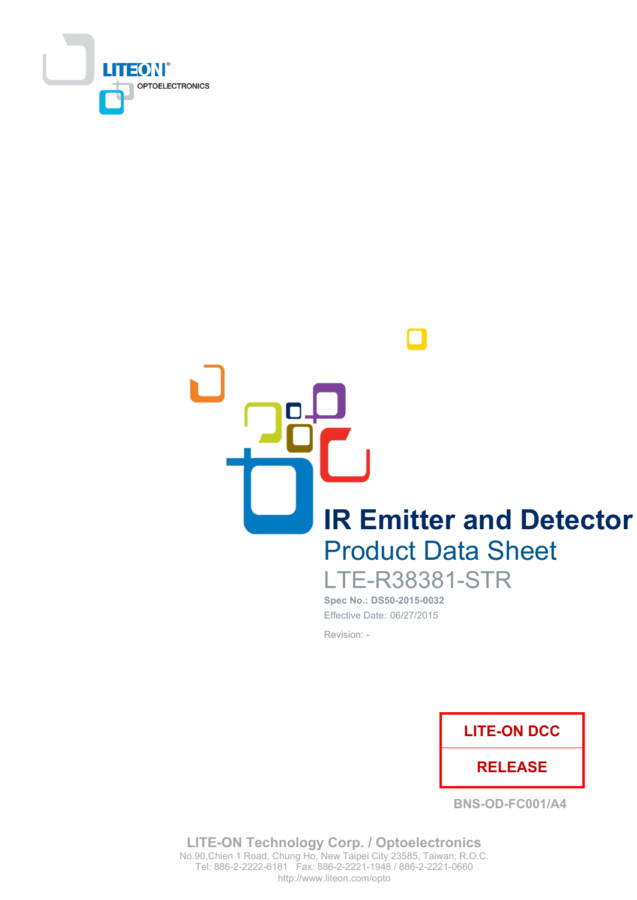

**IR Emitter and Detector Product Data Sheet LTE-R38381-STR** 

Spec No.: DS50-2015-0032 Effective Date: 06/27/2015 Revision: -



**BNS-OD-FC001/A4** 

**LITE-ON Technology Corp. / Optoelectronics** No.90, Chien 1 Road, Chung Ho, New Taipei City 23585, Taiwan, R.O.C. Tel: 886-2-2222-6181 Fax: 886-2-2221-1948 / 886-2-2221-0660 http://www.liteon.com/opto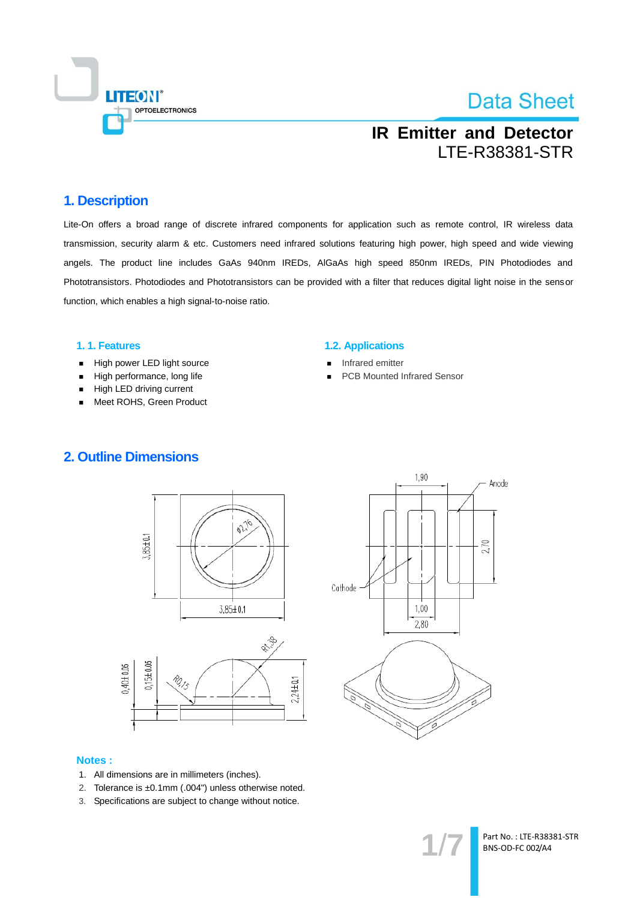

## **IR Emitter and Detector LTE-R38381-STR**

### 1. Description

Lite-On offers a broad range of discrete infrared components for application such as remote control, IR wireless data transmission, security alarm & etc. Customers need infrared solutions featuring high power, high speed and wide viewing angels. The product line includes GaAs 940nm IREDs, AIGaAs high speed 850nm IREDs, PIN Photodiodes and Phototransistors. Photodiodes and Phototransistors can be provided with a filter that reduces digital light noise in the sensor function, which enables a high signal-to-noise ratio.

#### 1.1. Features

- High power LED light source  $\blacksquare$
- High performance, long life  $\blacksquare$
- High LED driving current
- Meet ROHS, Green Product

#### **1.2. Applications**

- Infrared emitter
- **PCB Mounted Infrared Sensor**







#### **Notes:**

- 1. All dimensions are in millimeters (inches).
- 2. Tolerance is ±0.1mm (.004") unless otherwise noted.
- 3. Specifications are subject to change without notice.

Part No.: LTE-R38381-STR BNS-OD-FC 002/A4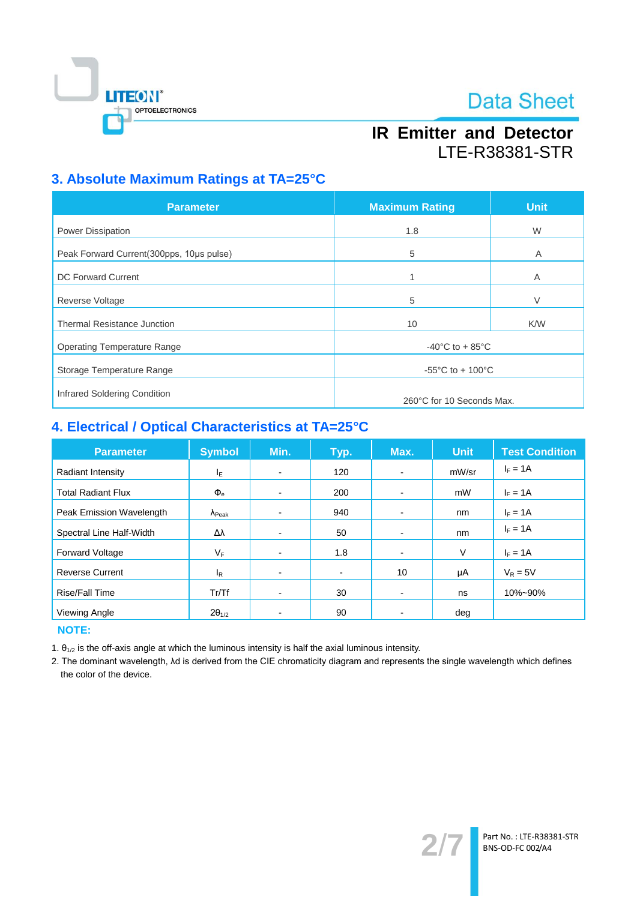

## **IR Emitter and Detector LTE-R38381-STR**

### 3. Absolute Maximum Ratings at TA=25°C

| <b>Parameter</b>                         | <b>Maximum Rating</b>                 | <b>Unit</b> |  |  |
|------------------------------------------|---------------------------------------|-------------|--|--|
| Power Dissipation                        | 1.8                                   | W           |  |  |
| Peak Forward Current(300pps, 10us pulse) | 5                                     | A           |  |  |
| <b>DC Forward Current</b>                |                                       | Α           |  |  |
| <b>Reverse Voltage</b>                   | 5                                     | V           |  |  |
| <b>Thermal Resistance Junction</b>       | 10                                    | K/W         |  |  |
| <b>Operating Temperature Range</b>       | $-40^{\circ}$ C to + 85 $^{\circ}$ C  |             |  |  |
| Storage Temperature Range                | $-55^{\circ}$ C to + 100 $^{\circ}$ C |             |  |  |
| Infrared Soldering Condition             |                                       |             |  |  |
|                                          | 260°C for 10 Seconds Max.             |             |  |  |

### 4. Electrical / Optical Characteristics at TA=25°C

| <b>Parameter</b>          | <b>Symbol</b>           | Min.                     | Typ.           | Max.                     | <b>Unit</b> | <b>Test Condition</b> |
|---------------------------|-------------------------|--------------------------|----------------|--------------------------|-------------|-----------------------|
| Radiant Intensity         | ΙE                      |                          | 120            | $\blacksquare$           | mW/sr       | $I_F = 1A$            |
| <b>Total Radiant Flux</b> | $\Phi_{\rm e}$          | -                        | 200            | $\blacksquare$           | mW          | $I_F = 1A$            |
| Peak Emission Wavelength  | $\Lambda_{\text{Peak}}$ |                          | 940            | $\overline{\phantom{0}}$ | nm          | $I_F = 1A$            |
| Spectral Line Half-Width  | Δλ                      | -                        | 50             |                          | nm          | $I_F = 1A$            |
| Forward Voltage           | VF                      | -                        | 1.8            |                          | $\vee$      | $I_F = 1A$            |
| <b>Reverse Current</b>    | l <sub>R</sub>          | -                        | $\blacksquare$ | 10                       | μA          | $V_R = 5V$            |
| Rise/Fall Time            | Tr/Tf                   | $\overline{\phantom{0}}$ | 30             | $\overline{\phantom{0}}$ | ns          | 10%~90%               |
| Viewing Angle             | $2\theta_{1/2}$         |                          | 90             |                          | deg         |                       |

**NOTE:** 

1.  $\theta_{1/2}$  is the off-axis angle at which the luminous intensity is half the axial luminous intensity.

2. The dominant wavelength, Ad is derived from the CIE chromaticity diagram and represents the single wavelength which defines the color of the device.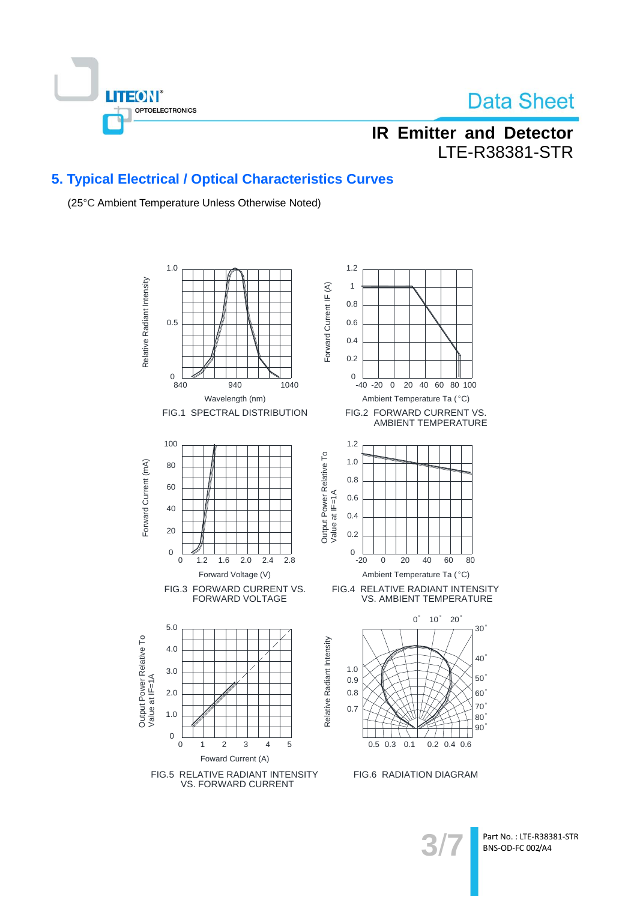

## **IR Emitter and Detector LTE-R38381-STR**

### 5. Typical Electrical / Optical Characteristics Curves

(25°C Ambient Temperature Unless Otherwise Noted)



Part No.: LTE-R38381-STR BNS-OD-FC 002/A4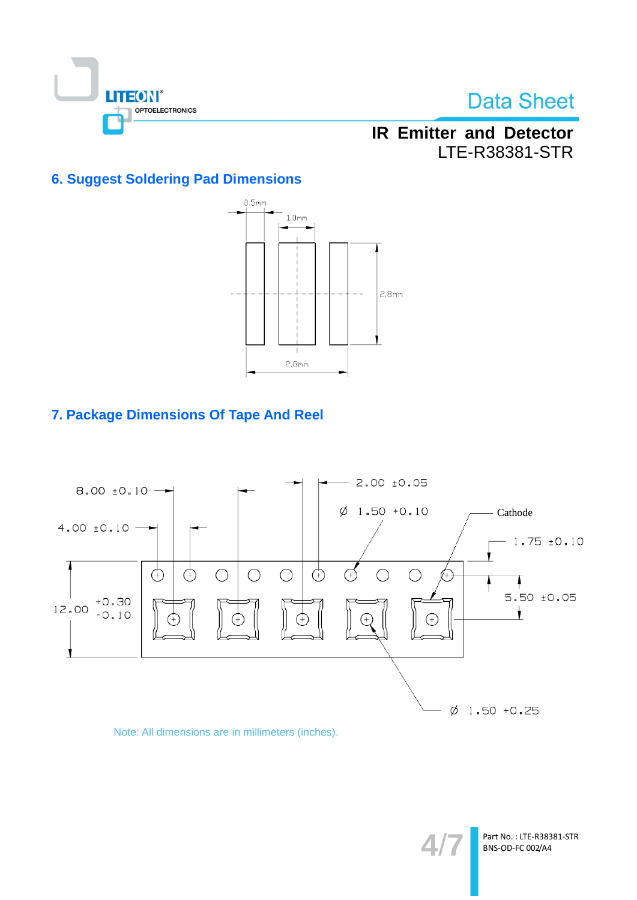

## **IR Emitter and Detector** LTE-R38381-STR

### **6. Suggest Soldering Pad Dimensions**



### 7. Package Dimensions Of Tape And Reel



### Note: All dimensions are in millimeters (inches).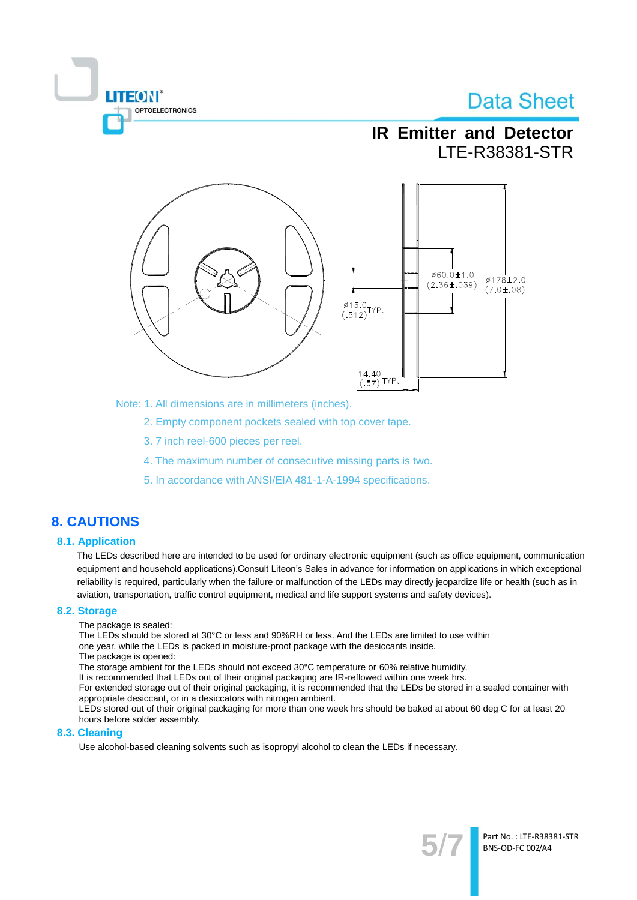

Note: 1. All dimensions are in millimeters (inches).

2. Empty component pockets sealed with top cover tape.

- 3.7 inch reel-600 pieces per reel.
- 4. The maximum number of consecutive missing parts is two.
- 5. In accordance with ANSI/EIA 481-1-A-1994 specifications.

### **8. CAUTIONS**

#### **8.1. Application**

The LEDs described here are intended to be used for ordinary electronic equipment (such as office equipment, communication equipment and household applications). Consult Liteon's Sales in advance for information on applications in which exceptional reliability is required, particularly when the failure or malfunction of the LEDs may directly jeopardize life or health (such as in aviation, transportation, traffic control equipment, medical and life support systems and safety devices).

#### 8.2. Storage

The package is sealed:

**TEON** 

OPTOELECTRONICS

The LEDs should be stored at 30°C or less and 90%RH or less. And the LEDs are limited to use within one year, while the LEDs is packed in moisture-proof package with the desiccants inside.

The package is opened:

The storage ambient for the LEDs should not exceed 30°C temperature or 60% relative humidity.

It is recommended that LEDs out of their original packaging are IR-reflowed within one week hrs.

For extended storage out of their original packaging, it is recommended that the LEDs be stored in a sealed container with appropriate desiccant, or in a desiccators with nitrogen ambient.

LEDs stored out of their original packaging for more than one week hrs should be baked at about 60 deg C for at least 20 hours before solder assembly.

#### 8.3. Cleaning

Use alcohol-based cleaning solvents such as isopropyl alcohol to clean the LEDs if necessary.

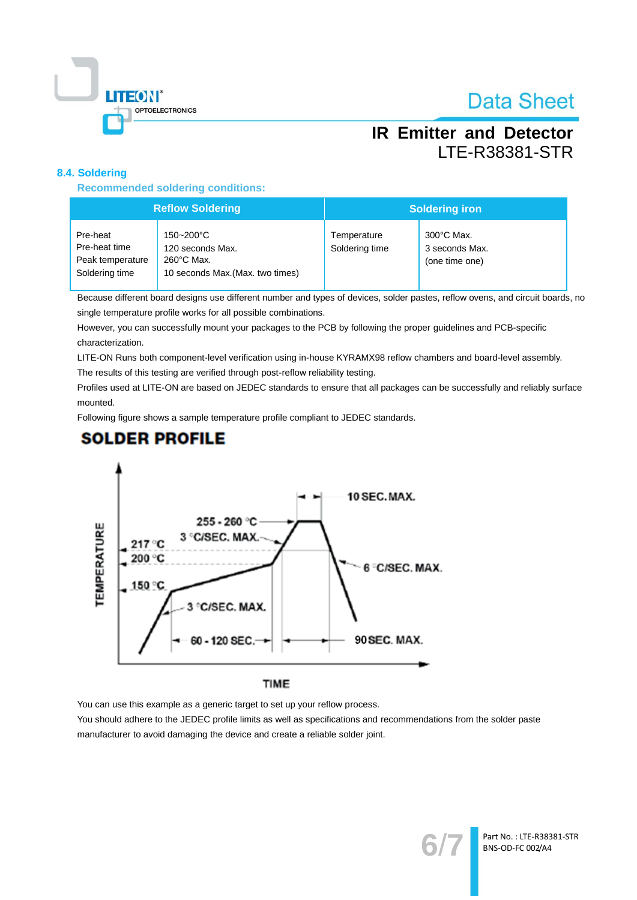

Part No.: LTE-R38381-STR BNS-OD-FC 002/A4

## **IR Emitter and Detector LTE-R38381-STR**

### 8.4. Soldering

**Recommended soldering conditions:** 

| <b>Reflow Soldering</b>                                         |                                                                                 | <b>Soldering iron</b>         |                                                          |  |
|-----------------------------------------------------------------|---------------------------------------------------------------------------------|-------------------------------|----------------------------------------------------------|--|
| Pre-heat<br>Pre-heat time<br>Peak temperature<br>Soldering time | 150~200°C<br>120 seconds Max.<br>260°C Max.<br>10 seconds Max. (Max. two times) | Temperature<br>Soldering time | $300^{\circ}$ C Max.<br>3 seconds Max.<br>(one time one) |  |

Because different board designs use different number and types of devices, solder pastes, reflow ovens, and circuit boards, no single temperature profile works for all possible combinations.

However, you can successfully mount your packages to the PCB by following the proper guidelines and PCB-specific characterization.

LITE-ON Runs both component-level verification using in-house KYRAMX98 reflow chambers and board-level assembly.

The results of this testing are verified through post-reflow reliability testing.

Profiles used at LITE-ON are based on JEDEC standards to ensure that all packages can be successfully and reliably surface mounted.

Following figure shows a sample temperature profile compliant to JEDEC standards.

### **SOLDER PROFILE**



### TIME

You can use this example as a generic target to set up your reflow process.

You should adhere to the JEDEC profile limits as well as specifications and recommendations from the solder paste manufacturer to avoid damaging the device and create a reliable solder joint.